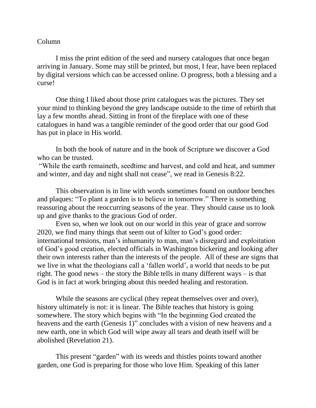## Column

I miss the print edition of the seed and nursery catalogues that once began arriving in January. Some may still be printed, but most, I fear, have been replaced by digital versions which can be accessed online. O progress, both a blessing and a curse!

One thing I liked about those print catalogues was the pictures. They set your mind to thinking beyond the grey landscape outside to the time of rebirth that lay a few months ahead. Sitting in front of the fireplace with one of these catalogues in hand was a tangible reminder of the good order that our good God has put in place in His world.

In both the book of nature and in the book of Scripture we discover a God who can be trusted.

"While the earth remaineth, seedtime and harvest, and cold and heat, and summer and winter, and day and night shall not cease", we read in Genesis 8:22.

This observation is in line with words sometimes found on outdoor benches and plaques: "To plant a garden is to believe in tomorrow." There is something reassuring about the reoccurring seasons of the year. They should cause us to look up and give thanks to the gracious God of order.

Even so, when we look out on our world in this year of grace and sorrow 2020, we find many things that seem out of kilter to God's good order: international tensions, man's inhumanity to man, man's disregard and exploitation of God's good creation, elected officials in Washington bickering and looking after their own interests rather than the interests of the people. All of these are signs that we live in what the theologians call a 'fallen world', a world that needs to be put right. The good news – the story the Bible tells in many different ways – is that God is in fact at work bringing about this needed healing and restoration.

While the seasons are cyclical (they repeat themselves over and over), history ultimately is not: it is linear. The Bible teaches that history is going somewhere. The story which begins with "In the beginning God created the heavens and the earth (Genesis 1)" concludes with a vision of new heavens and a new earth, one in which God will wipe away all tears and death itself will be abolished (Revelation 21).

This present "garden" with its weeds and thistles points toward another garden, one God is preparing for those who love Him. Speaking of this latter